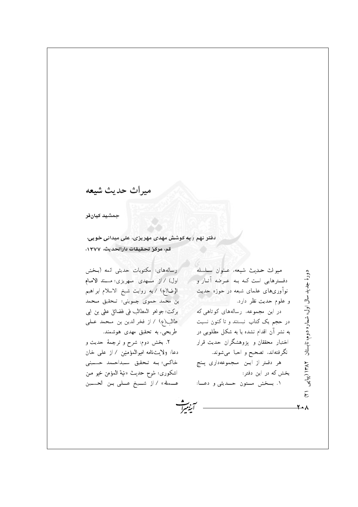ميراث حديث شيعه

جمشيد كيانفر

دفتر نهم ، به کوشش مهدی مهریزی، علی میدانی خویی، قم، مركز تحقيقات دارالحديث، ١٣٧٧.

رسالههای: مکتوبات حدیثی ائمه (بـخش اول) / از مــهدي مـهريزي؛ مسند الامـام الرضا(ع) / به روايت شيخ الاسلام ابراهيم بن محمد حموي جــويني؛ تــحقيق مـحمد بركت؛ جواهر المطالب في فضائل على بن ابي طالب(ع) / از فخر الدین بن مـحمد عـلمي طریحی، به تحقیق مهدی هوشمند.

٢. بخش دوم: شرح و ترجمهٔ حدیث و دعًا: ولايتنامه اميرالمؤمنين / از علي خان خاكى؛ بـه تـحقيق سـيداحـمد حسـينى اشكوري؛ شرح حديث «نية المؤمن خير مـن عــمله» / از شــيخ عــلى بـن الحسـين

ميراث حديث شيعه عنوان سلسله دورهٔ جدید سال اول، شماره دوم، تابستان ۱۳۸۲ (بیایی دفترهایی است کـه بـه عـرضه آثـار و نوآوریهای علمای شیعه در حوزه حدیث و علوم حديث نظر دارد. در این مجموعه، رسالههای کوتاهی که در حجم یک کتاب نیستند و تا کنون نسبت به نشر آن اقدام نشده یا به شکل مطلوبی در اختیار محققان و پژوهشگران حدیث قرار نگرفتهاند، تصحیح و احیا میشوند. هر دفـتر از ايــن مـجموعهداري پــنج بخش که در این دفتر : ۱. بسخش مستون حسدیثی و دعسا:  $\tilde{\epsilon}$ 

**Y** +  $\lambda$ 

سريت<br>اينسر